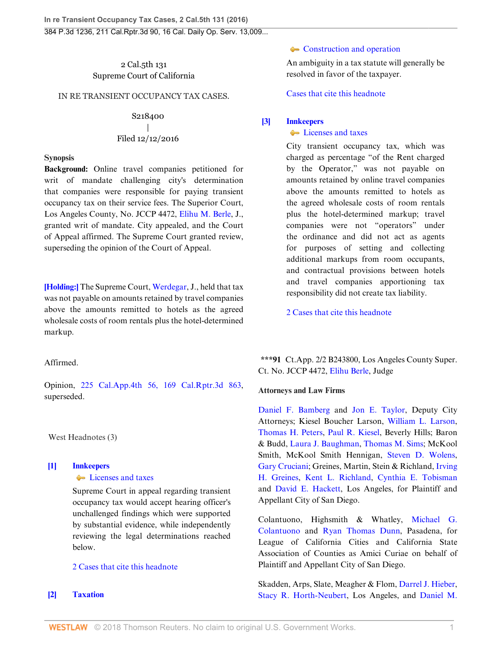2 Cal.5th 131 Supreme Court of California

# IN RE TRANSIENT OCCUPANCY TAX CASES.

# S218400 | Filed 12/12/2016

#### **Synopsis**

**Background:** Online travel companies petitioned for writ of mandate challenging city's determination that companies were responsible for paying transient occupancy tax on their service fees. The Superior Court, Los Angeles County, No. JCCP 4472, [Elihu M. Berle,](http://www.westlaw.com/Link/Document/FullText?findType=h&pubNum=176284&cite=0316722101&originatingDoc=Id0217870c0ef11e690aea7acddbc05a6&refType=RQ&originationContext=document&vr=3.0&rs=cblt1.0&transitionType=DocumentItem&contextData=(sc.UserEnteredCitation)) J., granted writ of mandate. City appealed, and the Court of Appeal affirmed. The Supreme Court granted review, superseding the opinion of the Court of Appeal.

**[\[Holding:\]](#page-0-0)** The Supreme Court, [Werdegar,](http://www.westlaw.com/Link/Document/FullText?findType=h&pubNum=176284&cite=0252859201&originatingDoc=Id0217870c0ef11e690aea7acddbc05a6&refType=RQ&originationContext=document&vr=3.0&rs=cblt1.0&transitionType=DocumentItem&contextData=(sc.UserEnteredCitation)) J., held that tax was not payable on amounts retained by travel companies above the amounts remitted to hotels as the agreed wholesale costs of room rentals plus the hotel-determined markup.

### Affirmed.

Opinion, [225 Cal.App.4th 56, 169 Cal.Rptr.3d 863](http://www.westlaw.com/Link/Document/FullText?findType=Y&serNum=2032992742&pubNum=0007047&originatingDoc=Id0217870c0ef11e690aea7acddbc05a6&refType=RP&originationContext=document&vr=3.0&rs=cblt1.0&transitionType=DocumentItem&contextData=(sc.UserEnteredCitation)), superseded.

West Headnotes (3)

# <span id="page-0-1"></span>**[\[1\]](#page-1-0) [Innkeepers](http://www.westlaw.com/Browse/Home/KeyNumber/213/View.html?docGuid=Id0217870c0ef11e690aea7acddbc05a6&originationContext=document&vr=3.0&rs=cblt1.0&transitionType=DocumentItem&contextData=(sc.UserEnteredCitation)) [Licenses and taxes](http://www.westlaw.com/Browse/Home/KeyNumber/213k4/View.html?docGuid=Id0217870c0ef11e690aea7acddbc05a6&originationContext=document&vr=3.0&rs=cblt1.0&transitionType=DocumentItem&contextData=(sc.UserEnteredCitation))**

Supreme Court in appeal regarding transient occupancy tax would accept hearing officer's unchallenged findings which were supported by substantial evidence, while independently reviewing the legal determinations reached below.

## [2 Cases that cite this headnote](http://www.westlaw.com/Link/RelatedInformation/DocHeadnoteLink?docGuid=Id0217870c0ef11e690aea7acddbc05a6&headnoteId=204051516300120180411072149&originationContext=document&vr=3.0&rs=cblt1.0&transitionType=CitingReferences&contextData=(sc.UserEnteredCitation))

<span id="page-0-2"></span>**[\[2\]](#page-1-1) [Taxation](http://www.westlaw.com/Browse/Home/KeyNumber/371/View.html?docGuid=Id0217870c0ef11e690aea7acddbc05a6&originationContext=document&vr=3.0&rs=cblt1.0&transitionType=DocumentItem&contextData=(sc.UserEnteredCitation))**

## [Construction and operation](http://www.westlaw.com/Browse/Home/KeyNumber/371k2027/View.html?docGuid=Id0217870c0ef11e690aea7acddbc05a6&originationContext=document&vr=3.0&rs=cblt1.0&transitionType=DocumentItem&contextData=(sc.UserEnteredCitation))

An ambiguity in a tax statute will generally be resolved in favor of the taxpayer.

[Cases that cite this headnote](http://www.westlaw.com/Link/RelatedInformation/DocHeadnoteLink?docGuid=Id0217870c0ef11e690aea7acddbc05a6&headnoteId=204051516300220180411072149&originationContext=document&vr=3.0&rs=cblt1.0&transitionType=CitingReferences&contextData=(sc.UserEnteredCitation))

### <span id="page-0-0"></span>**[\[3\]](#page-3-0) [Innkeepers](http://www.westlaw.com/Browse/Home/KeyNumber/213/View.html?docGuid=Id0217870c0ef11e690aea7acddbc05a6&originationContext=document&vr=3.0&rs=cblt1.0&transitionType=DocumentItem&contextData=(sc.UserEnteredCitation))**

#### **[Licenses and taxes](http://www.westlaw.com/Browse/Home/KeyNumber/213k4/View.html?docGuid=Id0217870c0ef11e690aea7acddbc05a6&originationContext=document&vr=3.0&rs=cblt1.0&transitionType=DocumentItem&contextData=(sc.UserEnteredCitation))**

City transient occupancy tax, which was charged as percentage "of the Rent charged by the Operator," was not payable on amounts retained by online travel companies above the amounts remitted to hotels as the agreed wholesale costs of room rentals plus the hotel-determined markup; travel companies were not "operators" under the ordinance and did not act as agents for purposes of setting and collecting additional markups from room occupants, and contractual provisions between hotels and travel companies apportioning tax responsibility did not create tax liability.

[2 Cases that cite this headnote](http://www.westlaw.com/Link/RelatedInformation/DocHeadnoteLink?docGuid=Id0217870c0ef11e690aea7acddbc05a6&headnoteId=204051516300320180411072149&originationContext=document&vr=3.0&rs=cblt1.0&transitionType=CitingReferences&contextData=(sc.UserEnteredCitation))

**\*\*\*91** Ct.App. 2/2 B243800, Los Angeles County Super. Ct. No. JCCP 4472, [Elihu Berle,](http://www.westlaw.com/Link/Document/FullText?findType=h&pubNum=176284&cite=0316722101&originatingDoc=Id0217870c0ef11e690aea7acddbc05a6&refType=RQ&originationContext=document&vr=3.0&rs=cblt1.0&transitionType=DocumentItem&contextData=(sc.UserEnteredCitation)) Judge

#### **Attorneys and Law Firms**

[Daniel F. Bamberg](http://www.westlaw.com/Link/Document/FullText?findType=h&pubNum=176284&cite=0167163401&originatingDoc=Id0217870c0ef11e690aea7acddbc05a6&refType=RQ&originationContext=document&vr=3.0&rs=cblt1.0&transitionType=DocumentItem&contextData=(sc.UserEnteredCitation)) and [Jon E. Taylor](http://www.westlaw.com/Link/Document/FullText?findType=h&pubNum=176284&cite=0358596201&originatingDoc=Id0217870c0ef11e690aea7acddbc05a6&refType=RQ&originationContext=document&vr=3.0&rs=cblt1.0&transitionType=DocumentItem&contextData=(sc.UserEnteredCitation)), Deputy City Attorneys; Kiesel Boucher Larson, [William L. Larson](http://www.westlaw.com/Link/Document/FullText?findType=h&pubNum=176284&cite=0213993901&originatingDoc=Id0217870c0ef11e690aea7acddbc05a6&refType=RQ&originationContext=document&vr=3.0&rs=cblt1.0&transitionType=DocumentItem&contextData=(sc.UserEnteredCitation)), [Thomas H. Peters,](http://www.westlaw.com/Link/Document/FullText?findType=h&pubNum=176284&cite=0107914401&originatingDoc=Id0217870c0ef11e690aea7acddbc05a6&refType=RQ&originationContext=document&vr=3.0&rs=cblt1.0&transitionType=DocumentItem&contextData=(sc.UserEnteredCitation)) [Paul R. Kiesel](http://www.westlaw.com/Link/Document/FullText?findType=h&pubNum=176284&cite=0214030401&originatingDoc=Id0217870c0ef11e690aea7acddbc05a6&refType=RQ&originationContext=document&vr=3.0&rs=cblt1.0&transitionType=DocumentItem&contextData=(sc.UserEnteredCitation)), Beverly Hills; Baron & Budd, [Laura J. Baughman](http://www.westlaw.com/Link/Document/FullText?findType=h&pubNum=176284&cite=0320917801&originatingDoc=Id0217870c0ef11e690aea7acddbc05a6&refType=RQ&originationContext=document&vr=3.0&rs=cblt1.0&transitionType=DocumentItem&contextData=(sc.UserEnteredCitation)), [Thomas M. Sims](http://www.westlaw.com/Link/Document/FullText?findType=h&pubNum=176284&cite=0316534501&originatingDoc=Id0217870c0ef11e690aea7acddbc05a6&refType=RQ&originationContext=document&vr=3.0&rs=cblt1.0&transitionType=DocumentItem&contextData=(sc.UserEnteredCitation)); McKool Smith, McKool Smith Hennigan, [Steven D. Wolens](http://www.westlaw.com/Link/Document/FullText?findType=h&pubNum=176284&cite=0141422701&originatingDoc=Id0217870c0ef11e690aea7acddbc05a6&refType=RQ&originationContext=document&vr=3.0&rs=cblt1.0&transitionType=DocumentItem&contextData=(sc.UserEnteredCitation)), [Gary Cruciani](http://www.westlaw.com/Link/Document/FullText?findType=h&pubNum=176284&cite=0386301201&originatingDoc=Id0217870c0ef11e690aea7acddbc05a6&refType=RQ&originationContext=document&vr=3.0&rs=cblt1.0&transitionType=DocumentItem&contextData=(sc.UserEnteredCitation)); Greines, Martin, Stein & Richland, [Irving](http://www.westlaw.com/Link/Document/FullText?findType=h&pubNum=176284&cite=0171298101&originatingDoc=Id0217870c0ef11e690aea7acddbc05a6&refType=RQ&originationContext=document&vr=3.0&rs=cblt1.0&transitionType=DocumentItem&contextData=(sc.UserEnteredCitation)) [H. Greines](http://www.westlaw.com/Link/Document/FullText?findType=h&pubNum=176284&cite=0171298101&originatingDoc=Id0217870c0ef11e690aea7acddbc05a6&refType=RQ&originationContext=document&vr=3.0&rs=cblt1.0&transitionType=DocumentItem&contextData=(sc.UserEnteredCitation)), [Kent L. Richland,](http://www.westlaw.com/Link/Document/FullText?findType=h&pubNum=176284&cite=0204993101&originatingDoc=Id0217870c0ef11e690aea7acddbc05a6&refType=RQ&originationContext=document&vr=3.0&rs=cblt1.0&transitionType=DocumentItem&contextData=(sc.UserEnteredCitation)) [Cynthia E. Tobisman](http://www.westlaw.com/Link/Document/FullText?findType=h&pubNum=176284&cite=0318758301&originatingDoc=Id0217870c0ef11e690aea7acddbc05a6&refType=RQ&originationContext=document&vr=3.0&rs=cblt1.0&transitionType=DocumentItem&contextData=(sc.UserEnteredCitation)) and [David E. Hackett](http://www.westlaw.com/Link/Document/FullText?findType=h&pubNum=176284&cite=0439699501&originatingDoc=Id0217870c0ef11e690aea7acddbc05a6&refType=RQ&originationContext=document&vr=3.0&rs=cblt1.0&transitionType=DocumentItem&contextData=(sc.UserEnteredCitation)), Los Angeles, for Plaintiff and Appellant City of San Diego.

Colantuono, Highsmith & Whatley, [Michael G.](http://www.westlaw.com/Link/Document/FullText?findType=h&pubNum=176284&cite=0192061801&originatingDoc=Id0217870c0ef11e690aea7acddbc05a6&refType=RQ&originationContext=document&vr=3.0&rs=cblt1.0&transitionType=DocumentItem&contextData=(sc.UserEnteredCitation)) [Colantuono](http://www.westlaw.com/Link/Document/FullText?findType=h&pubNum=176284&cite=0192061801&originatingDoc=Id0217870c0ef11e690aea7acddbc05a6&refType=RQ&originationContext=document&vr=3.0&rs=cblt1.0&transitionType=DocumentItem&contextData=(sc.UserEnteredCitation)) and [Ryan Thomas Dunn](http://www.westlaw.com/Link/Document/FullText?findType=h&pubNum=176284&cite=0458299601&originatingDoc=Id0217870c0ef11e690aea7acddbc05a6&refType=RQ&originationContext=document&vr=3.0&rs=cblt1.0&transitionType=DocumentItem&contextData=(sc.UserEnteredCitation)), Pasadena, for League of California Cities and California State Association of Counties as Amici Curiae on behalf of Plaintiff and Appellant City of San Diego.

Skadden, Arps, Slate, Meagher & Flom, [Darrel J. Hieber](http://www.westlaw.com/Link/Document/FullText?findType=h&pubNum=176284&cite=0121689901&originatingDoc=Id0217870c0ef11e690aea7acddbc05a6&refType=RQ&originationContext=document&vr=3.0&rs=cblt1.0&transitionType=DocumentItem&contextData=(sc.UserEnteredCitation)), [Stacy R. Horth-Neubert,](http://www.westlaw.com/Link/Document/FullText?findType=h&pubNum=176284&cite=0326847301&originatingDoc=Id0217870c0ef11e690aea7acddbc05a6&refType=RQ&originationContext=document&vr=3.0&rs=cblt1.0&transitionType=DocumentItem&contextData=(sc.UserEnteredCitation)) Los Angeles, and [Daniel M.](http://www.westlaw.com/Link/Document/FullText?findType=h&pubNum=176284&cite=0329333101&originatingDoc=Id0217870c0ef11e690aea7acddbc05a6&refType=RQ&originationContext=document&vr=3.0&rs=cblt1.0&transitionType=DocumentItem&contextData=(sc.UserEnteredCitation))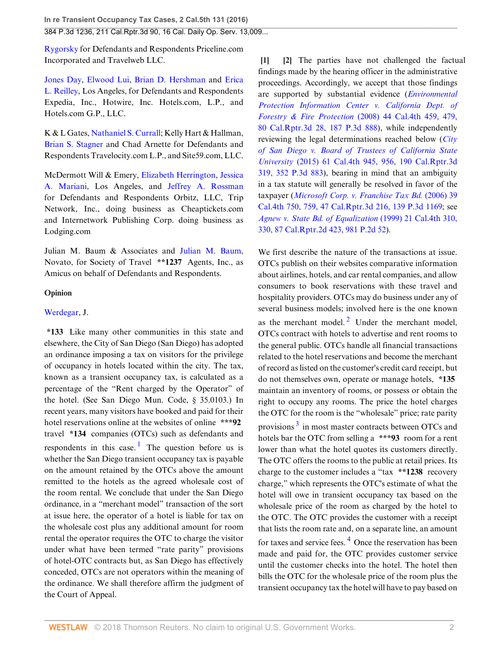[Rygorsky](http://www.westlaw.com/Link/Document/FullText?findType=h&pubNum=176284&cite=0329333101&originatingDoc=Id0217870c0ef11e690aea7acddbc05a6&refType=RQ&originationContext=document&vr=3.0&rs=cblt1.0&transitionType=DocumentItem&contextData=(sc.UserEnteredCitation)) for Defendants and Respondents Priceline.com Incorporated and Travelweb LLC.

[Jones Day,](http://www.westlaw.com/Link/Document/FullText?findType=h&pubNum=176284&cite=0313002801&originatingDoc=Id0217870c0ef11e690aea7acddbc05a6&refType=RQ&originationContext=document&vr=3.0&rs=cblt1.0&transitionType=DocumentItem&contextData=(sc.UserEnteredCitation)) [Elwood Lui,](http://www.westlaw.com/Link/Document/FullText?findType=h&pubNum=176284&cite=0163580501&originatingDoc=Id0217870c0ef11e690aea7acddbc05a6&refType=RQ&originationContext=document&vr=3.0&rs=cblt1.0&transitionType=DocumentItem&contextData=(sc.UserEnteredCitation)) [Brian D. Hershman](http://www.westlaw.com/Link/Document/FullText?findType=h&pubNum=176284&cite=0243593301&originatingDoc=Id0217870c0ef11e690aea7acddbc05a6&refType=RQ&originationContext=document&vr=3.0&rs=cblt1.0&transitionType=DocumentItem&contextData=(sc.UserEnteredCitation)) and [Erica](http://www.westlaw.com/Link/Document/FullText?findType=h&pubNum=176284&cite=0316548001&originatingDoc=Id0217870c0ef11e690aea7acddbc05a6&refType=RQ&originationContext=document&vr=3.0&rs=cblt1.0&transitionType=DocumentItem&contextData=(sc.UserEnteredCitation)) [L. Reilley](http://www.westlaw.com/Link/Document/FullText?findType=h&pubNum=176284&cite=0316548001&originatingDoc=Id0217870c0ef11e690aea7acddbc05a6&refType=RQ&originationContext=document&vr=3.0&rs=cblt1.0&transitionType=DocumentItem&contextData=(sc.UserEnteredCitation)), Los Angeles, for Defendants and Respondents Expedia, Inc., Hotwire, Inc. Hotels.com, L.P., and Hotels.com G.P., LLC.

K & L Gates, [Nathaniel S. Currall](http://www.westlaw.com/Link/Document/FullText?findType=h&pubNum=176284&cite=0330329801&originatingDoc=Id0217870c0ef11e690aea7acddbc05a6&refType=RQ&originationContext=document&vr=3.0&rs=cblt1.0&transitionType=DocumentItem&contextData=(sc.UserEnteredCitation)); Kelly Hart & Hallman, [Brian S. Stagner](http://www.westlaw.com/Link/Document/FullText?findType=h&pubNum=176284&cite=0254472201&originatingDoc=Id0217870c0ef11e690aea7acddbc05a6&refType=RQ&originationContext=document&vr=3.0&rs=cblt1.0&transitionType=DocumentItem&contextData=(sc.UserEnteredCitation)) and Chad Arnette for Defendants and Respondents Travelocity.com L.P., and Site59.com, LLC.

McDermott Will & Emery, [Elizabeth Herrington](http://www.westlaw.com/Link/Document/FullText?findType=h&pubNum=176284&cite=0319043401&originatingDoc=Id0217870c0ef11e690aea7acddbc05a6&refType=RQ&originationContext=document&vr=3.0&rs=cblt1.0&transitionType=DocumentItem&contextData=(sc.UserEnteredCitation)), [Jessica](http://www.westlaw.com/Link/Document/FullText?findType=h&pubNum=176284&cite=0453787701&originatingDoc=Id0217870c0ef11e690aea7acddbc05a6&refType=RQ&originationContext=document&vr=3.0&rs=cblt1.0&transitionType=DocumentItem&contextData=(sc.UserEnteredCitation)) [A. Mariani,](http://www.westlaw.com/Link/Document/FullText?findType=h&pubNum=176284&cite=0453787701&originatingDoc=Id0217870c0ef11e690aea7acddbc05a6&refType=RQ&originationContext=document&vr=3.0&rs=cblt1.0&transitionType=DocumentItem&contextData=(sc.UserEnteredCitation)) Los Angeles, and [Jeffrey A. Rossman](http://www.westlaw.com/Link/Document/FullText?findType=h&pubNum=176284&cite=0321961601&originatingDoc=Id0217870c0ef11e690aea7acddbc05a6&refType=RQ&originationContext=document&vr=3.0&rs=cblt1.0&transitionType=DocumentItem&contextData=(sc.UserEnteredCitation)) for Defendants and Respondents Orbitz, LLC, Trip Network, Inc., doing business as Cheaptickets.com and Internetwork Publishing Corp. doing business as Lodging.com

Julian M. Baum & Associates and [Julian M. Baum](http://www.westlaw.com/Link/Document/FullText?findType=h&pubNum=176284&cite=0127066601&originatingDoc=Id0217870c0ef11e690aea7acddbc05a6&refType=RQ&originationContext=document&vr=3.0&rs=cblt1.0&transitionType=DocumentItem&contextData=(sc.UserEnteredCitation)), Novato, for Society of Travel **\*\*1237** Agents, Inc., as Amicus on behalf of Defendants and Respondents.

## **Opinion**

## [Werdegar,](http://www.westlaw.com/Link/Document/FullText?findType=h&pubNum=176284&cite=0252859201&originatingDoc=Id0217870c0ef11e690aea7acddbc05a6&refType=RQ&originationContext=document&vr=3.0&rs=cblt1.0&transitionType=DocumentItem&contextData=(sc.UserEnteredCitation)) J.

<span id="page-1-2"></span>**\*133** Like many other communities in this state and elsewhere, the City of San Diego (San Diego) has adopted an ordinance imposing a tax on visitors for the privilege of occupancy in hotels located within the city. The tax, known as a transient occupancy tax, is calculated as a percentage of the "Rent charged by the Operator" of the hotel. (See San Diego Mun. Code, § 35.0103.) In recent years, many visitors have booked and paid for their hotel reservations online at the websites of online **\*\*\*92** travel **\*134** companies (OTCs) such as defendants and respondents in this case.<sup>[1](#page-4-0)</sup> The question before us is whether the San Diego transient occupancy tax is payable on the amount retained by the OTCs above the amount remitted to the hotels as the agreed wholesale cost of the room rental. We conclude that under the San Diego ordinance, in a "merchant model" transaction of the sort at issue here, the operator of a hotel is liable for tax on the wholesale cost plus any additional amount for room rental the operator requires the OTC to charge the visitor under what have been termed "rate parity" provisions of hotel-OTC contracts but, as San Diego has effectively conceded, OTCs are not operators within the meaning of the ordinance. We shall therefore affirm the judgment of the Court of Appeal.

<span id="page-1-1"></span><span id="page-1-0"></span>**[\[1](#page-0-1)] [\[2](#page-0-2)]** The parties have not challenged the factual findings made by the hearing officer in the administrative proceedings. Accordingly, we accept that those findings are supported by substantial evidence (*[Environmental](http://www.westlaw.com/Link/Document/FullText?findType=Y&serNum=2016537836&pubNum=0004645&originatingDoc=Id0217870c0ef11e690aea7acddbc05a6&refType=RP&originationContext=document&vr=3.0&rs=cblt1.0&transitionType=DocumentItem&contextData=(sc.UserEnteredCitation)) [Protection Information Center v. California Dept. of](http://www.westlaw.com/Link/Document/FullText?findType=Y&serNum=2016537836&pubNum=0004645&originatingDoc=Id0217870c0ef11e690aea7acddbc05a6&refType=RP&originationContext=document&vr=3.0&rs=cblt1.0&transitionType=DocumentItem&contextData=(sc.UserEnteredCitation)) Forestry & Fire Protection* [\(2008\) 44 Cal.4th 459, 479,](http://www.westlaw.com/Link/Document/FullText?findType=Y&serNum=2016537836&pubNum=0004645&originatingDoc=Id0217870c0ef11e690aea7acddbc05a6&refType=RP&originationContext=document&vr=3.0&rs=cblt1.0&transitionType=DocumentItem&contextData=(sc.UserEnteredCitation)) [80 Cal.Rptr.3d 28, 187 P.3d 888\)](http://www.westlaw.com/Link/Document/FullText?findType=Y&serNum=2016537836&pubNum=0004645&originatingDoc=Id0217870c0ef11e690aea7acddbc05a6&refType=RP&originationContext=document&vr=3.0&rs=cblt1.0&transitionType=DocumentItem&contextData=(sc.UserEnteredCitation)), while independently reviewing the legal determinations reached below (*[City](http://www.westlaw.com/Link/Document/FullText?findType=Y&serNum=2036809920&pubNum=0004645&originatingDoc=Id0217870c0ef11e690aea7acddbc05a6&refType=RP&originationContext=document&vr=3.0&rs=cblt1.0&transitionType=DocumentItem&contextData=(sc.UserEnteredCitation)) [of San Diego v. Board of Trustees of California State](http://www.westlaw.com/Link/Document/FullText?findType=Y&serNum=2036809920&pubNum=0004645&originatingDoc=Id0217870c0ef11e690aea7acddbc05a6&refType=RP&originationContext=document&vr=3.0&rs=cblt1.0&transitionType=DocumentItem&contextData=(sc.UserEnteredCitation)) University* [\(2015\) 61 Cal.4th 945, 956, 190 Cal.Rptr.3d](http://www.westlaw.com/Link/Document/FullText?findType=Y&serNum=2036809920&pubNum=0004645&originatingDoc=Id0217870c0ef11e690aea7acddbc05a6&refType=RP&originationContext=document&vr=3.0&rs=cblt1.0&transitionType=DocumentItem&contextData=(sc.UserEnteredCitation)) [319, 352 P.3d 883](http://www.westlaw.com/Link/Document/FullText?findType=Y&serNum=2036809920&pubNum=0004645&originatingDoc=Id0217870c0ef11e690aea7acddbc05a6&refType=RP&originationContext=document&vr=3.0&rs=cblt1.0&transitionType=DocumentItem&contextData=(sc.UserEnteredCitation))), bearing in mind that an ambiguity in a tax statute will generally be resolved in favor of the taxpayer (*[Microsoft Corp. v. Franchise Tax Bd.](http://www.westlaw.com/Link/Document/FullText?findType=Y&serNum=2009742870&pubNum=0004645&originatingDoc=Id0217870c0ef11e690aea7acddbc05a6&refType=RP&originationContext=document&vr=3.0&rs=cblt1.0&transitionType=DocumentItem&contextData=(sc.UserEnteredCitation))* (2006) 39 [Cal.4th 750, 759, 47 Cal.Rptr.3d 216, 139 P.3d 1169;](http://www.westlaw.com/Link/Document/FullText?findType=Y&serNum=2009742870&pubNum=0004645&originatingDoc=Id0217870c0ef11e690aea7acddbc05a6&refType=RP&originationContext=document&vr=3.0&rs=cblt1.0&transitionType=DocumentItem&contextData=(sc.UserEnteredCitation)) see *[Agnew v. State Bd. of Equalization](http://www.westlaw.com/Link/Document/FullText?findType=Y&serNum=1999190204&pubNum=0000661&originatingDoc=Id0217870c0ef11e690aea7acddbc05a6&refType=RP&originationContext=document&vr=3.0&rs=cblt1.0&transitionType=DocumentItem&contextData=(sc.UserEnteredCitation))* (1999) 21 Cal.4th 310, [330, 87 Cal.Rptr.2d 423, 981 P.2d 52\)](http://www.westlaw.com/Link/Document/FullText?findType=Y&serNum=1999190204&pubNum=0000661&originatingDoc=Id0217870c0ef11e690aea7acddbc05a6&refType=RP&originationContext=document&vr=3.0&rs=cblt1.0&transitionType=DocumentItem&contextData=(sc.UserEnteredCitation)).

<span id="page-1-5"></span><span id="page-1-4"></span><span id="page-1-3"></span>We first describe the nature of the transactions at issue. OTCs publish on their websites comparative information about airlines, hotels, and car rental companies, and allow consumers to book reservations with these travel and hospitality providers. OTCs may do business under any of several business models; involved here is the one known as the merchant model.<sup>[2](#page-5-0)</sup> Under the merchant model, OTCs contract with hotels to advertise and rent rooms to the general public. OTCs handle all financial transactions related to the hotel reservations and become the merchant of record as listed on the customer's credit card receipt, but do not themselves own, operate or manage hotels, **\*135** maintain an inventory of rooms, or possess or obtain the right to occupy any rooms. The price the hotel charges the OTC for the room is the "wholesale" price; rate parity provisions<sup>[3](#page-5-1)</sup> in most master contracts between OTCs and hotels bar the OTC from selling a **\*\*\*93** room for a rent lower than what the hotel quotes its customers directly. The OTC offers the rooms to the public at retail prices. Its charge to the customer includes a "tax **\*\*1238** recovery charge," which represents the OTC's estimate of what the hotel will owe in transient occupancy tax based on the wholesale price of the room as charged by the hotel to the OTC. The OTC provides the customer with a receipt that lists the room rate and, on a separate line, an amount for taxes and service fees.<sup>[4](#page-5-2)</sup> Once the reservation has been made and paid for, the OTC provides customer service until the customer checks into the hotel. The hotel then bills the OTC for the wholesale price of the room plus the transient occupancy tax the hotel will have to pay based on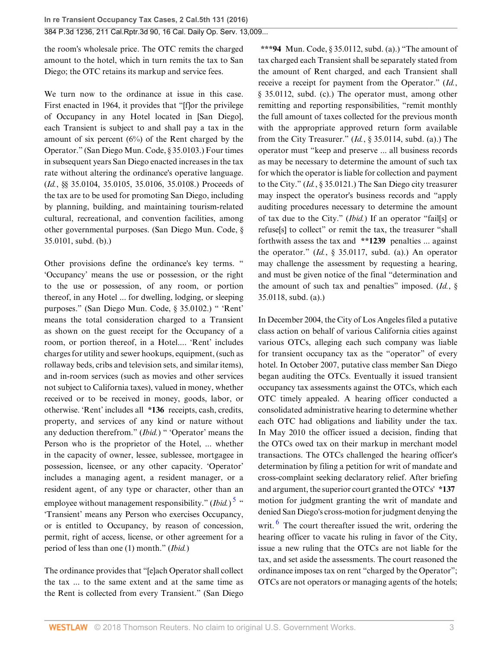the room's wholesale price. The OTC remits the charged amount to the hotel, which in turn remits the tax to San Diego; the OTC retains its markup and service fees.

We turn now to the ordinance at issue in this case. First enacted in 1964, it provides that "[f]or the privilege of Occupancy in any Hotel located in [San Diego], each Transient is subject to and shall pay a tax in the amount of six percent  $(6\%)$  of the Rent charged by the Operator." (San Diego Mun. Code, § 35.0103.) Four times in subsequent years San Diego enacted increases in the tax rate without altering the ordinance's operative language. (*Id.*, §§ 35.0104, 35.0105, 35.0106, 35.0108.) Proceeds of the tax are to be used for promoting San Diego, including by planning, building, and maintaining tourism-related cultural, recreational, and convention facilities, among other governmental purposes. (San Diego Mun. Code, § 35.0101, subd. (b).)

Other provisions define the ordinance's key terms. " 'Occupancy' means the use or possession, or the right to the use or possession, of any room, or portion thereof, in any Hotel ... for dwelling, lodging, or sleeping purposes." (San Diego Mun. Code, § 35.0102.) " 'Rent' means the total consideration charged to a Transient as shown on the guest receipt for the Occupancy of a room, or portion thereof, in a Hotel.... 'Rent' includes charges for utility and sewer hookups, equipment, (such as rollaway beds, cribs and television sets, and similar items), and in-room services (such as movies and other services not subject to California taxes), valued in money, whether received or to be received in money, goods, labor, or otherwise. 'Rent' includes all **\*136** receipts, cash, credits, property, and services of any kind or nature without any deduction therefrom." (*Ibid.*) " 'Operator' means the Person who is the proprietor of the Hotel, ... whether in the capacity of owner, lessee, sublessee, mortgagee in possession, licensee, or any other capacity. 'Operator' includes a managing agent, a resident manager, or a resident agent, of any type or character, other than an employee without management responsibility." (*Ibid.*)<sup>[5](#page-5-3)</sup> " 'Transient' means any Person who exercises Occupancy, or is entitled to Occupancy, by reason of concession, permit, right of access, license, or other agreement for a period of less than one (1) month." (*Ibid.*)

The ordinance provides that "[e]ach Operator shall collect the tax ... to the same extent and at the same time as the Rent is collected from every Transient." (San Diego

**\*\*\*94** Mun. Code, § 35.0112, subd. (a).) "The amount of tax charged each Transient shall be separately stated from the amount of Rent charged, and each Transient shall receive a receipt for payment from the Operator." (*Id.*, § 35.0112, subd. (c).) The operator must, among other remitting and reporting responsibilities, "remit monthly the full amount of taxes collected for the previous month with the appropriate approved return form available from the City Treasurer." (*Id.*, § 35.0114, subd. (a).) The operator must "keep and preserve ... all business records as may be necessary to determine the amount of such tax for which the operator is liable for collection and payment to the City." (*Id.*, § 35.0121.) The San Diego city treasurer may inspect the operator's business records and "apply auditing procedures necessary to determine the amount of tax due to the City." (*Ibid.*) If an operator "fail[s] or refuse[s] to collect" or remit the tax, the treasurer "shall forthwith assess the tax and **\*\*1239** penalties ... against the operator." (*Id.*, § 35.0117, subd. (a).) An operator may challenge the assessment by requesting a hearing, and must be given notice of the final "determination and the amount of such tax and penalties" imposed. (*Id.*, § 35.0118, subd. (a).)

<span id="page-2-1"></span><span id="page-2-0"></span>In December 2004, the City of Los Angeles filed a putative class action on behalf of various California cities against various OTCs, alleging each such company was liable for transient occupancy tax as the "operator" of every hotel. In October 2007, putative class member San Diego began auditing the OTCs. Eventually it issued transient occupancy tax assessments against the OTCs, which each OTC timely appealed. A hearing officer conducted a consolidated administrative hearing to determine whether each OTC had obligations and liability under the tax. In May 2010 the officer issued a decision, finding that the OTCs owed tax on their markup in merchant model transactions. The OTCs challenged the hearing officer's determination by filing a petition for writ of mandate and cross-complaint seeking declaratory relief. After briefing and argument, the superior court granted the OTCs' **\*137** motion for judgment granting the writ of mandate and denied San Diego's cross-motion for judgment denying the writ.  $\frac{6}{10}$  $\frac{6}{10}$  $\frac{6}{10}$  The court thereafter issued the writ, ordering the hearing officer to vacate his ruling in favor of the City, issue a new ruling that the OTCs are not liable for the tax, and set aside the assessments. The court reasoned the ordinance imposes tax on rent "charged by the Operator"; OTCs are not operators or managing agents of the hotels;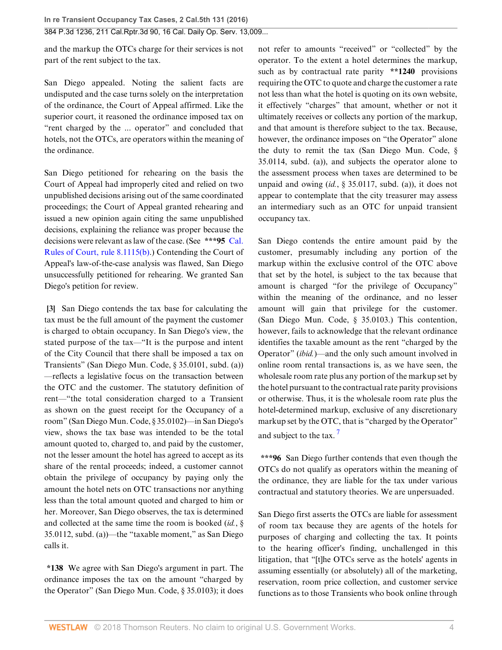and the markup the OTCs charge for their services is not part of the rent subject to the tax.

San Diego appealed. Noting the salient facts are undisputed and the case turns solely on the interpretation of the ordinance, the Court of Appeal affirmed. Like the superior court, it reasoned the ordinance imposed tax on "rent charged by the ... operator" and concluded that hotels, not the OTCs, are operators within the meaning of the ordinance.

San Diego petitioned for rehearing on the basis the Court of Appeal had improperly cited and relied on two unpublished decisions arising out of the same coordinated proceedings; the Court of Appeal granted rehearing and issued a new opinion again citing the same unpublished decisions, explaining the reliance was proper because the decisions were relevant as law of the case. (See **\*\*\*95** [Cal.](http://www.westlaw.com/Link/Document/FullText?findType=L&pubNum=1085232&cite=CASTAPPLLR8.1115&originatingDoc=Id0217870c0ef11e690aea7acddbc05a6&refType=LQ&originationContext=document&vr=3.0&rs=cblt1.0&transitionType=DocumentItem&contextData=(sc.UserEnteredCitation)) [Rules of Court, rule 8.1115\(b\)](http://www.westlaw.com/Link/Document/FullText?findType=L&pubNum=1085232&cite=CASTAPPLLR8.1115&originatingDoc=Id0217870c0ef11e690aea7acddbc05a6&refType=LQ&originationContext=document&vr=3.0&rs=cblt1.0&transitionType=DocumentItem&contextData=(sc.UserEnteredCitation)).) Contending the Court of Appeal's law-of-the-case analysis was flawed, San Diego unsuccessfully petitioned for rehearing. We granted San Diego's petition for review.

<span id="page-3-0"></span>**[\[3](#page-0-0)]** San Diego contends the tax base for calculating the tax must be the full amount of the payment the customer is charged to obtain occupancy. In San Diego's view, the stated purpose of the tax—"It is the purpose and intent of the City Council that there shall be imposed a tax on Transients" (San Diego Mun. Code, § 35.0101, subd. (a)) —reflects a legislative focus on the transaction between the OTC and the customer. The statutory definition of rent—"the total consideration charged to a Transient as shown on the guest receipt for the Occupancy of a room" (San Diego Mun. Code, § 35.0102)—in San Diego's view, shows the tax base was intended to be the total amount quoted to, charged to, and paid by the customer, not the lesser amount the hotel has agreed to accept as its share of the rental proceeds; indeed, a customer cannot obtain the privilege of occupancy by paying only the amount the hotel nets on OTC transactions nor anything less than the total amount quoted and charged to him or her. Moreover, San Diego observes, the tax is determined and collected at the same time the room is booked (*id.*, § 35.0112, subd. (a))—the "taxable moment," as San Diego calls it.

**\*138** We agree with San Diego's argument in part. The ordinance imposes the tax on the amount "charged by the Operator" (San Diego Mun. Code, § 35.0103); it does not refer to amounts "received" or "collected" by the operator. To the extent a hotel determines the markup, such as by contractual rate parity **\*\*1240** provisions requiring the OTC to quote and charge the customer a rate not less than what the hotel is quoting on its own website, it effectively "charges" that amount, whether or not it ultimately receives or collects any portion of the markup, and that amount is therefore subject to the tax. Because, however, the ordinance imposes on "the Operator" alone the duty to remit the tax (San Diego Mun. Code, § 35.0114, subd. (a)), and subjects the operator alone to the assessment process when taxes are determined to be unpaid and owing (*id.*, § 35.0117, subd. (a)), it does not appear to contemplate that the city treasurer may assess an intermediary such as an OTC for unpaid transient occupancy tax.

San Diego contends the entire amount paid by the customer, presumably including any portion of the markup within the exclusive control of the OTC above that set by the hotel, is subject to the tax because that amount is charged "for the privilege of Occupancy" within the meaning of the ordinance, and no lesser amount will gain that privilege for the customer. (San Diego Mun. Code, § 35.0103.) This contention, however, fails to acknowledge that the relevant ordinance identifies the taxable amount as the rent "charged by the Operator" (*ibid.*)—and the only such amount involved in online room rental transactions is, as we have seen, the wholesale room rate plus any portion of the markup set by the hotel pursuant to the contractual rate parity provisions or otherwise. Thus, it is the wholesale room rate plus the hotel-determined markup, exclusive of any discretionary markup set by the OTC, that is "charged by the Operator" and subject to the tax.<sup>[7](#page-5-5)</sup>

<span id="page-3-1"></span>**\*\*\*96** San Diego further contends that even though the OTCs do not qualify as operators within the meaning of the ordinance, they are liable for the tax under various contractual and statutory theories. We are unpersuaded.

San Diego first asserts the OTCs are liable for assessment of room tax because they are agents of the hotels for purposes of charging and collecting the tax. It points to the hearing officer's finding, unchallenged in this litigation, that "[t]he OTCs serve as the hotels' agents in assuming essentially (or absolutely) all of the marketing, reservation, room price collection, and customer service functions as to those Transients who book online through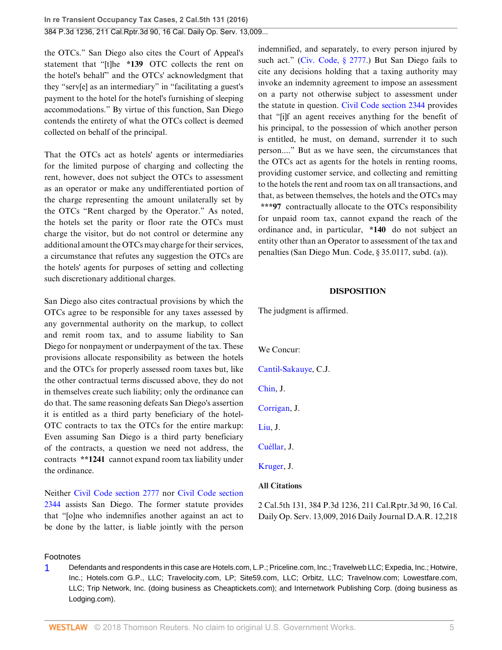the OTCs." San Diego also cites the Court of Appeal's statement that "[t]he **\*139** OTC collects the rent on the hotel's behalf" and the OTCs' acknowledgment that they "serv[e] as an intermediary" in "facilitating a guest's payment to the hotel for the hotel's furnishing of sleeping accommodations." By virtue of this function, San Diego contends the entirety of what the OTCs collect is deemed collected on behalf of the principal.

That the OTCs act as hotels' agents or intermediaries for the limited purpose of charging and collecting the rent, however, does not subject the OTCs to assessment as an operator or make any undifferentiated portion of the charge representing the amount unilaterally set by the OTCs "Rent charged by the Operator." As noted, the hotels set the parity or floor rate the OTCs must charge the visitor, but do not control or determine any additional amount the OTCs may charge for their services, a circumstance that refutes any suggestion the OTCs are the hotels' agents for purposes of setting and collecting such discretionary additional charges.

San Diego also cites contractual provisions by which the OTCs agree to be responsible for any taxes assessed by any governmental authority on the markup, to collect and remit room tax, and to assume liability to San Diego for nonpayment or underpayment of the tax. These provisions allocate responsibility as between the hotels and the OTCs for properly assessed room taxes but, like the other contractual terms discussed above, they do not in themselves create such liability; only the ordinance can do that. The same reasoning defeats San Diego's assertion it is entitled as a third party beneficiary of the hotel-OTC contracts to tax the OTCs for the entire markup: Even assuming San Diego is a third party beneficiary of the contracts, a question we need not address, the contracts **\*\*1241** cannot expand room tax liability under the ordinance.

Neither [Civil Code section 2777](http://www.westlaw.com/Link/Document/FullText?findType=L&pubNum=1000200&cite=CACIS2777&originatingDoc=Id0217870c0ef11e690aea7acddbc05a6&refType=LQ&originationContext=document&vr=3.0&rs=cblt1.0&transitionType=DocumentItem&contextData=(sc.UserEnteredCitation)) nor [Civil Code section](http://www.westlaw.com/Link/Document/FullText?findType=L&pubNum=1000200&cite=CACIS2344&originatingDoc=Id0217870c0ef11e690aea7acddbc05a6&refType=LQ&originationContext=document&vr=3.0&rs=cblt1.0&transitionType=DocumentItem&contextData=(sc.UserEnteredCitation)) [2344](http://www.westlaw.com/Link/Document/FullText?findType=L&pubNum=1000200&cite=CACIS2344&originatingDoc=Id0217870c0ef11e690aea7acddbc05a6&refType=LQ&originationContext=document&vr=3.0&rs=cblt1.0&transitionType=DocumentItem&contextData=(sc.UserEnteredCitation)) assists San Diego. The former statute provides that "[o]ne who indemnifies another against an act to be done by the latter, is liable jointly with the person indemnified, and separately, to every person injured by such act." ([Civ. Code, § 2777](http://www.westlaw.com/Link/Document/FullText?findType=L&pubNum=1000200&cite=CACIS2777&originatingDoc=Id0217870c0ef11e690aea7acddbc05a6&refType=LQ&originationContext=document&vr=3.0&rs=cblt1.0&transitionType=DocumentItem&contextData=(sc.UserEnteredCitation)).) But San Diego fails to cite any decisions holding that a taxing authority may invoke an indemnity agreement to impose an assessment on a party not otherwise subject to assessment under the statute in question. [Civil Code section 2344](http://www.westlaw.com/Link/Document/FullText?findType=L&pubNum=1000200&cite=CACIS2344&originatingDoc=Id0217870c0ef11e690aea7acddbc05a6&refType=LQ&originationContext=document&vr=3.0&rs=cblt1.0&transitionType=DocumentItem&contextData=(sc.UserEnteredCitation)) provides that "[i]f an agent receives anything for the benefit of his principal, to the possession of which another person is entitled, he must, on demand, surrender it to such person...." But as we have seen, the circumstances that the OTCs act as agents for the hotels in renting rooms, providing customer service, and collecting and remitting to the hotels the rent and room tax on all transactions, and that, as between themselves, the hotels and the OTCs may **\*\*\*97** contractually allocate to the OTCs responsibility for unpaid room tax, cannot expand the reach of the ordinance and, in particular, **\*140** do not subject an entity other than an Operator to assessment of the tax and penalties (San Diego Mun. Code, § 35.0117, subd. (a)).

### **DISPOSITION**

The judgment is affirmed.

We Concur:

[Cantil-Sakauye,](http://www.westlaw.com/Link/Document/FullText?findType=h&pubNum=176284&cite=0351011901&originatingDoc=Id0217870c0ef11e690aea7acddbc05a6&refType=RQ&originationContext=document&vr=3.0&rs=cblt1.0&transitionType=DocumentItem&contextData=(sc.UserEnteredCitation)) C.J.

[Chin,](http://www.westlaw.com/Link/Document/FullText?findType=h&pubNum=176284&cite=0218429701&originatingDoc=Id0217870c0ef11e690aea7acddbc05a6&refType=RQ&originationContext=document&vr=3.0&rs=cblt1.0&transitionType=DocumentItem&contextData=(sc.UserEnteredCitation)) J.

[Corrigan,](http://www.westlaw.com/Link/Document/FullText?findType=h&pubNum=176284&cite=0152659901&originatingDoc=Id0217870c0ef11e690aea7acddbc05a6&refType=RQ&originationContext=document&vr=3.0&rs=cblt1.0&transitionType=DocumentItem&contextData=(sc.UserEnteredCitation)) J.

[Liu,](http://www.westlaw.com/Link/Document/FullText?findType=h&pubNum=176284&cite=0322143101&originatingDoc=Id0217870c0ef11e690aea7acddbc05a6&refType=RQ&originationContext=document&vr=3.0&rs=cblt1.0&transitionType=DocumentItem&contextData=(sc.UserEnteredCitation)) J.

[Cuéllar](http://www.westlaw.com/Link/Document/FullText?findType=h&pubNum=176284&cite=0487248001&originatingDoc=Id0217870c0ef11e690aea7acddbc05a6&refType=RQ&originationContext=document&vr=3.0&rs=cblt1.0&transitionType=DocumentItem&contextData=(sc.UserEnteredCitation)), J.

[Kruger,](http://www.westlaw.com/Link/Document/FullText?findType=h&pubNum=176284&cite=0487247601&originatingDoc=Id0217870c0ef11e690aea7acddbc05a6&refType=RQ&originationContext=document&vr=3.0&rs=cblt1.0&transitionType=DocumentItem&contextData=(sc.UserEnteredCitation)) J.

#### **All Citations**

2 Cal.5th 131, 384 P.3d 1236, 211 Cal.Rptr.3d 90, 16 Cal. Daily Op. Serv. 13,009, 2016 Daily Journal D.A.R. 12,218

#### Footnotes

<span id="page-4-0"></span>[1](#page-1-2) Defendants and respondents in this case are Hotels.com, L.P.; Priceline.com, Inc.; Travelweb LLC; Expedia, Inc.; Hotwire, Inc.; Hotels.com G.P., LLC; Travelocity.com, LP; Site59.com, LLC; Orbitz, LLC; Travelnow.com; Lowestfare.com, LLC; Trip Network, Inc. (doing business as Cheaptickets.com); and Internetwork Publishing Corp. (doing business as Lodging.com).